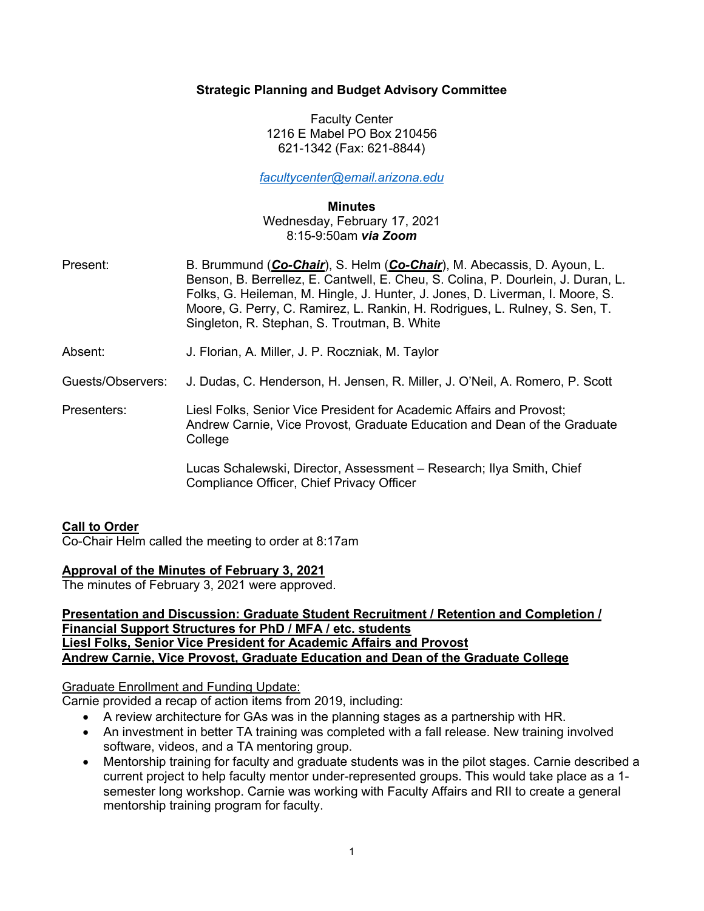## **Strategic Planning and Budget Advisory Committee**

Faculty Center 1216 E Mabel PO Box 210456 621-1342 (Fax: 621-8844)

*facultycenter@email.arizona.edu*

**Minutes** Wednesday, February 17, 2021 8:15-9:50am *via Zoom*

- Present: B. Brummund (*Co-Chair*), S. Helm (*Co-Chair*), M. Abecassis, D. Ayoun, L. Benson, B. Berrellez, E. Cantwell, E. Cheu, S. Colina, P. Dourlein, J. Duran, L. Folks, G. Heileman, M. Hingle, J. Hunter, J. Jones, D. Liverman, I. Moore, S. Moore, G. Perry, C. Ramirez, L. Rankin, H. Rodrigues, L. Rulney, S. Sen, T. Singleton, R. Stephan, S. Troutman, B. White
- Absent: J. Florian, A. Miller, J. P. Roczniak, M. Taylor

Guests/Observers: J. Dudas, C. Henderson, H. Jensen, R. Miller, J. O'Neil, A. Romero, P. Scott

Presenters: Liesl Folks, Senior Vice President for Academic Affairs and Provost; Andrew Carnie, Vice Provost, Graduate Education and Dean of the Graduate **College** 

> Lucas Schalewski, Director, Assessment – Research; Ilya Smith, Chief Compliance Officer, Chief Privacy Officer

## **Call to Order**

Co-Chair Helm called the meeting to order at 8:17am

## **Approval of the Minutes of February 3, 2021**

The minutes of February 3, 2021 were approved.

#### **Presentation and Discussion: Graduate Student Recruitment / Retention and Completion / Financial Support Structures for PhD / MFA / etc. students Liesl Folks, Senior Vice President for Academic Affairs and Provost Andrew Carnie, Vice Provost, Graduate Education and Dean of the Graduate College**

## Graduate Enrollment and Funding Update:

Carnie provided a recap of action items from 2019, including:

- A review architecture for GAs was in the planning stages as a partnership with HR.
- An investment in better TA training was completed with a fall release. New training involved software, videos, and a TA mentoring group.
- Mentorship training for faculty and graduate students was in the pilot stages. Carnie described a current project to help faculty mentor under-represented groups. This would take place as a 1 semester long workshop. Carnie was working with Faculty Affairs and RII to create a general mentorship training program for faculty.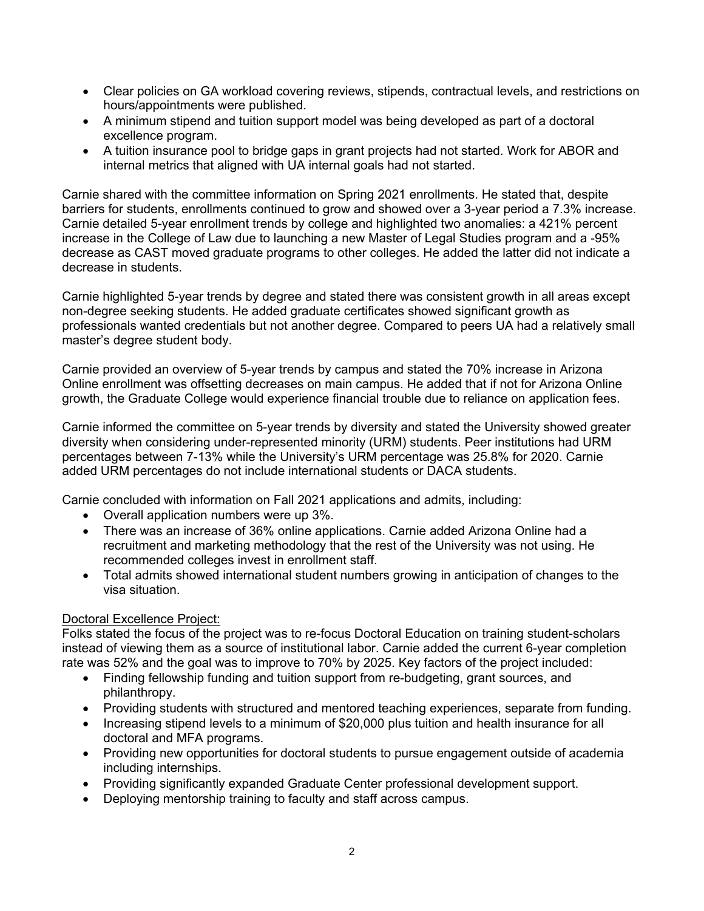- Clear policies on GA workload covering reviews, stipends, contractual levels, and restrictions on hours/appointments were published.
- A minimum stipend and tuition support model was being developed as part of a doctoral excellence program.
- A tuition insurance pool to bridge gaps in grant projects had not started. Work for ABOR and internal metrics that aligned with UA internal goals had not started.

Carnie shared with the committee information on Spring 2021 enrollments. He stated that, despite barriers for students, enrollments continued to grow and showed over a 3-year period a 7.3% increase. Carnie detailed 5-year enrollment trends by college and highlighted two anomalies: a 421% percent increase in the College of Law due to launching a new Master of Legal Studies program and a -95% decrease as CAST moved graduate programs to other colleges. He added the latter did not indicate a decrease in students.

Carnie highlighted 5-year trends by degree and stated there was consistent growth in all areas except non-degree seeking students. He added graduate certificates showed significant growth as professionals wanted credentials but not another degree. Compared to peers UA had a relatively small master's degree student body.

Carnie provided an overview of 5-year trends by campus and stated the 70% increase in Arizona Online enrollment was offsetting decreases on main campus. He added that if not for Arizona Online growth, the Graduate College would experience financial trouble due to reliance on application fees.

Carnie informed the committee on 5-year trends by diversity and stated the University showed greater diversity when considering under-represented minority (URM) students. Peer institutions had URM percentages between 7-13% while the University's URM percentage was 25.8% for 2020. Carnie added URM percentages do not include international students or DACA students.

Carnie concluded with information on Fall 2021 applications and admits, including:

- Overall application numbers were up 3%.
- There was an increase of 36% online applications. Carnie added Arizona Online had a recruitment and marketing methodology that the rest of the University was not using. He recommended colleges invest in enrollment staff.
- Total admits showed international student numbers growing in anticipation of changes to the visa situation.

## Doctoral Excellence Project:

Folks stated the focus of the project was to re-focus Doctoral Education on training student-scholars instead of viewing them as a source of institutional labor. Carnie added the current 6-year completion rate was 52% and the goal was to improve to 70% by 2025. Key factors of the project included:

- Finding fellowship funding and tuition support from re-budgeting, grant sources, and philanthropy.
- Providing students with structured and mentored teaching experiences, separate from funding.
- Increasing stipend levels to a minimum of \$20,000 plus tuition and health insurance for all doctoral and MFA programs.
- Providing new opportunities for doctoral students to pursue engagement outside of academia including internships.
- Providing significantly expanded Graduate Center professional development support.
- Deploying mentorship training to faculty and staff across campus.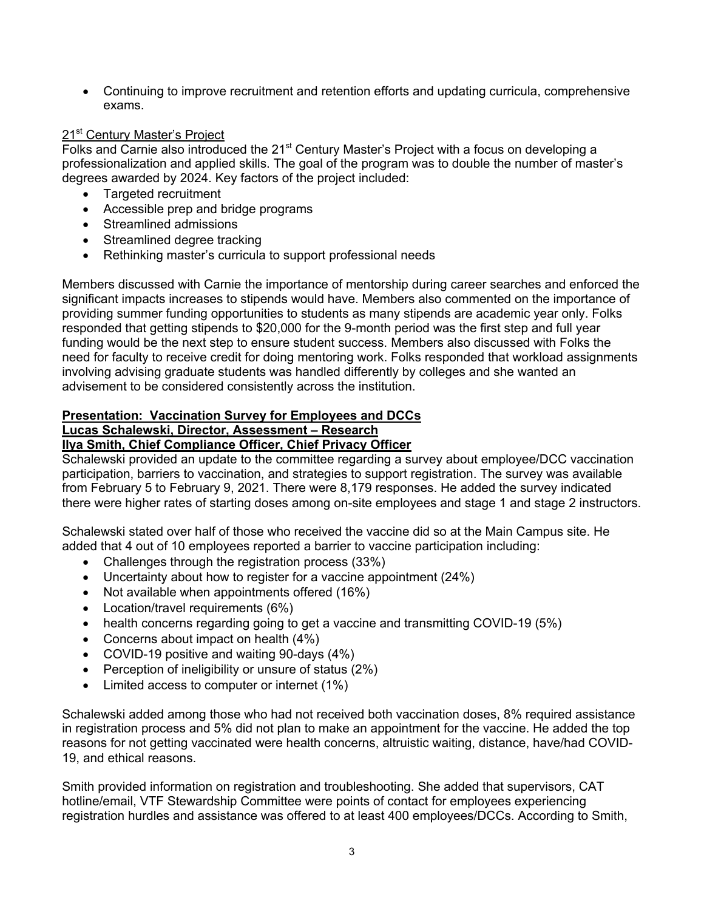• Continuing to improve recruitment and retention efforts and updating curricula, comprehensive exams.

# 21<sup>st</sup> Century Master's Project

Folks and Carnie also introduced the 21<sup>st</sup> Century Master's Project with a focus on developing a professionalization and applied skills. The goal of the program was to double the number of master's degrees awarded by 2024. Key factors of the project included:

- Targeted recruitment
- Accessible prep and bridge programs
- Streamlined admissions
- Streamlined degree tracking
- Rethinking master's curricula to support professional needs

Members discussed with Carnie the importance of mentorship during career searches and enforced the significant impacts increases to stipends would have. Members also commented on the importance of providing summer funding opportunities to students as many stipends are academic year only. Folks responded that getting stipends to \$20,000 for the 9-month period was the first step and full year funding would be the next step to ensure student success. Members also discussed with Folks the need for faculty to receive credit for doing mentoring work. Folks responded that workload assignments involving advising graduate students was handled differently by colleges and she wanted an advisement to be considered consistently across the institution.

#### **Presentation: Vaccination Survey for Employees and DCCs Lucas Schalewski, Director, Assessment – Research**

## **Ilya Smith, Chief Compliance Officer, Chief Privacy Officer**

Schalewski provided an update to the committee regarding a survey about employee/DCC vaccination participation, barriers to vaccination, and strategies to support registration. The survey was available from February 5 to February 9, 2021. There were 8,179 responses. He added the survey indicated there were higher rates of starting doses among on-site employees and stage 1 and stage 2 instructors.

Schalewski stated over half of those who received the vaccine did so at the Main Campus site. He added that 4 out of 10 employees reported a barrier to vaccine participation including:

- Challenges through the registration process (33%)
- Uncertainty about how to register for a vaccine appointment (24%)
- Not available when appointments offered (16%)
- Location/travel requirements (6%)
- health concerns regarding going to get a vaccine and transmitting COVID-19 (5%)
- Concerns about impact on health (4%)
- COVID-19 positive and waiting 90-days (4%)
- Perception of ineligibility or unsure of status (2%)
- Limited access to computer or internet (1%)

Schalewski added among those who had not received both vaccination doses, 8% required assistance in registration process and 5% did not plan to make an appointment for the vaccine. He added the top reasons for not getting vaccinated were health concerns, altruistic waiting, distance, have/had COVID-19, and ethical reasons.

Smith provided information on registration and troubleshooting. She added that supervisors, CAT hotline/email, VTF Stewardship Committee were points of contact for employees experiencing registration hurdles and assistance was offered to at least 400 employees/DCCs. According to Smith,